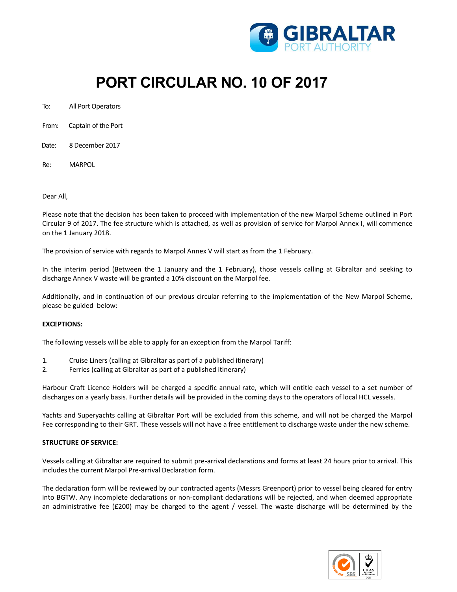

# **PORT CIRCULAR NO. 10 OF 2017**

To: All Port Operators

- From: Captain of the Port
- Date: 8 December 2017
- Re: MARPOL

#### Dear All,

Please note that the decision has been taken to proceed with implementation of the new Marpol Scheme outlined in Port Circular 9 of 2017. The fee structure which is attached, as well as provision of service for Marpol Annex I, will commence on the 1 January 2018.

The provision of service with regards to Marpol Annex V will start as from the 1 February.

In the interim period (Between the 1 January and the 1 February), those vessels calling at Gibraltar and seeking to discharge Annex V waste will be granted a 10% discount on the Marpol fee.

Additionally, and in continuation of our previous circular referring to the implementation of the New Marpol Scheme, please be guided below:

### **EXCEPTIONS:**

The following vessels will be able to apply for an exception from the Marpol Tariff:

- 1. Cruise Liners (calling at Gibraltar as part of a published itinerary)
- 2. Ferries (calling at Gibraltar as part of a published itinerary)

Harbour Craft Licence Holders will be charged a specific annual rate, which will entitle each vessel to a set number of discharges on a yearly basis. Further details will be provided in the coming days to the operators of local HCL vessels.

Yachts and Superyachts calling at Gibraltar Port will be excluded from this scheme, and will not be charged the Marpol Fee corresponding to their GRT. These vessels will not have a free entitlement to discharge waste under the new scheme.

### **STRUCTURE OF SERVICE:**

Vessels calling at Gibraltar are required to submit pre-arrival declarations and forms at least 24 hours prior to arrival. This includes the current Marpol Pre-arrival Declaration form.

The declaration form will be reviewed by our contracted agents (Messrs Greenport) prior to vessel being cleared for entry into BGTW. Any incomplete declarations or non-compliant declarations will be rejected, and when deemed appropriate an administrative fee (£200) may be charged to the agent / vessel. The waste discharge will be determined by the